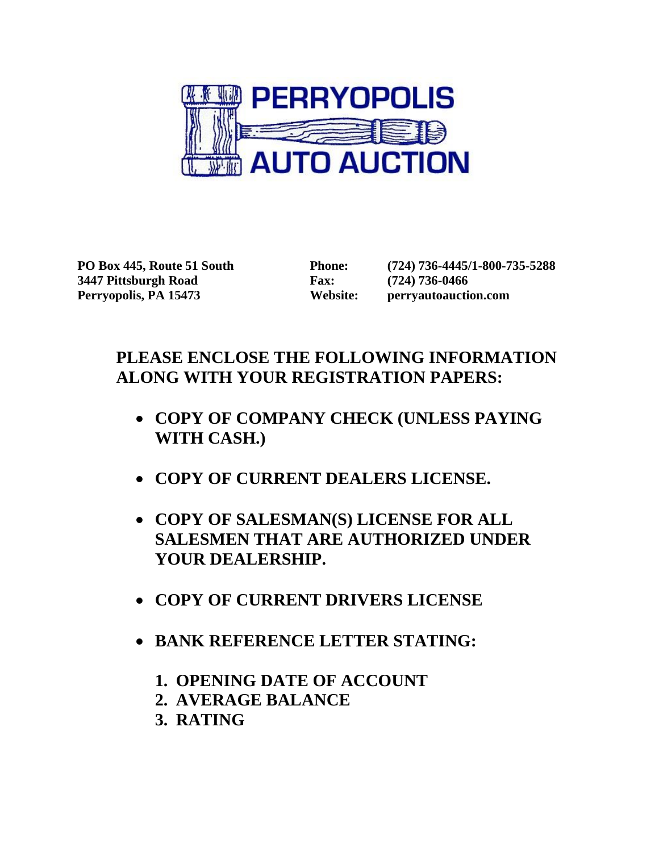

**PO Box 445, Route 51 South Phone: (724) 736-4445/1-800-735-5288 3447 Pittsburgh Road Fax: (724) 736-0466 Perryopolis, PA 15473 Website: perryautoauction.com**

# **PLEASE ENCLOSE THE FOLLOWING INFORMATION ALONG WITH YOUR REGISTRATION PAPERS:**

- **COPY OF COMPANY CHECK (UNLESS PAYING WITH CASH.)**
- **COPY OF CURRENT DEALERS LICENSE.**
- **COPY OF SALESMAN(S) LICENSE FOR ALL SALESMEN THAT ARE AUTHORIZED UNDER YOUR DEALERSHIP.**
- **COPY OF CURRENT DRIVERS LICENSE**
- **BANK REFERENCE LETTER STATING:**
	- **1. OPENING DATE OF ACCOUNT**
	- **2. AVERAGE BALANCE**
	- **3. RATING**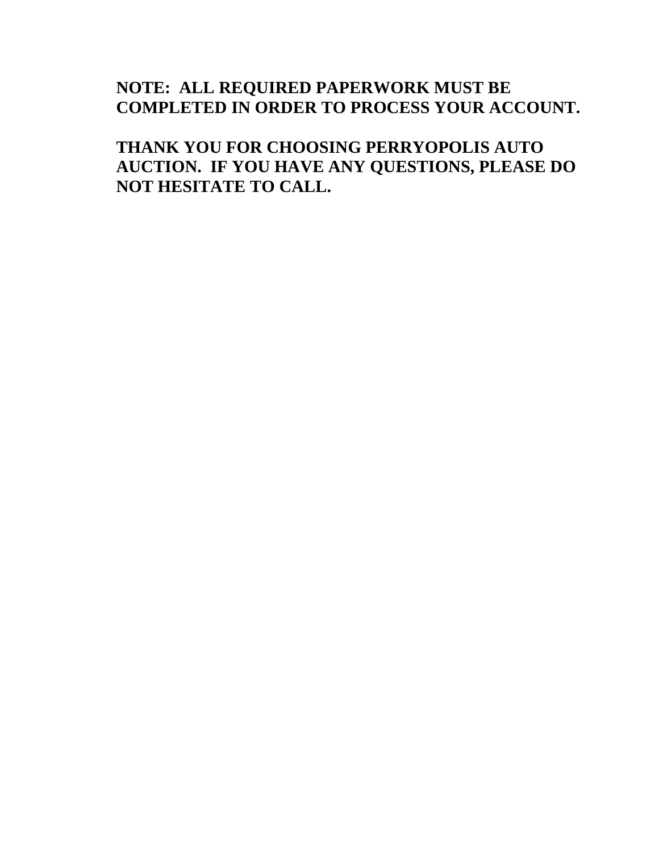# **NOTE: ALL REQUIRED PAPERWORK MUST BE COMPLETED IN ORDER TO PROCESS YOUR ACCOUNT.**

**THANK YOU FOR CHOOSING PERRYOPOLIS AUTO AUCTION. IF YOU HAVE ANY QUESTIONS, PLEASE DO NOT HESITATE TO CALL.**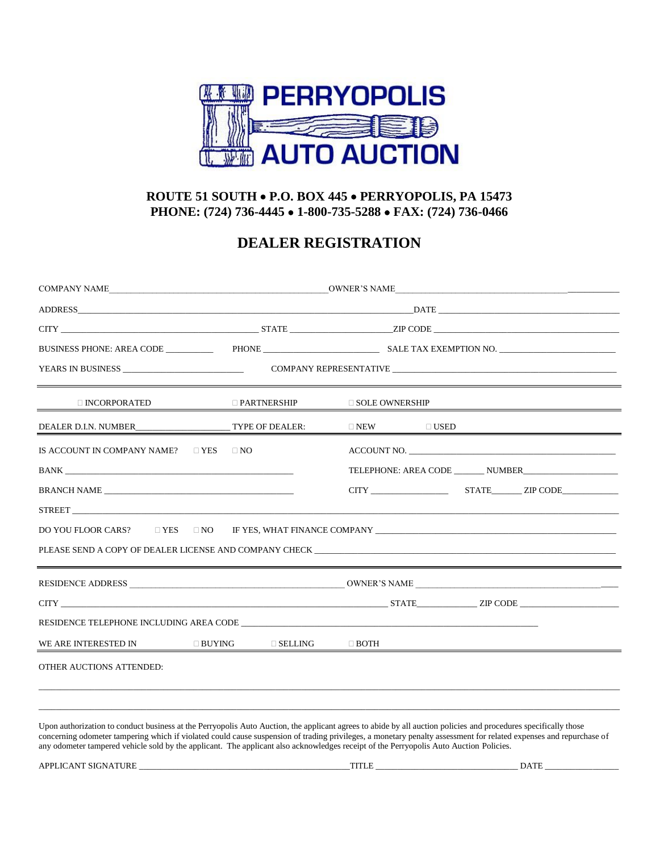

#### **ROUTE 51 SOUTH P.O. BOX 445 PERRYOPOLIS, PA 15473 PHONE: (724) 736-4445 1-800-735-5288 FAX: (724) 736-0466**

### **DEALER REGISTRATION**

|                                                                                                                                                                                                                                                                                                                                       | $\Box$ PARTNERSHIP | $\Box$ SOLE OWNERSHIP |                |  |  |
|---------------------------------------------------------------------------------------------------------------------------------------------------------------------------------------------------------------------------------------------------------------------------------------------------------------------------------------|--------------------|-----------------------|----------------|--|--|
|                                                                                                                                                                                                                                                                                                                                       |                    | $\square$ NEW         | $\square$ USED |  |  |
| IS ACCOUNT IN COMPANY NAME? $\Box$ YES $\Box$ NO                                                                                                                                                                                                                                                                                      |                    |                       |                |  |  |
|                                                                                                                                                                                                                                                                                                                                       |                    |                       |                |  |  |
| BRANCH NAME                                                                                                                                                                                                                                                                                                                           |                    |                       |                |  |  |
|                                                                                                                                                                                                                                                                                                                                       |                    |                       |                |  |  |
| DO YOU FLOOR CARS? □ YES □ NO F YES, WHAT FINANCE COMPANY ______________________                                                                                                                                                                                                                                                      |                    |                       |                |  |  |
| PLEASE SEND A COPY OF DEALER LICENSE AND COMPANY CHECK THEORY AND SERVED ASSESSED. THE SERVED OF DEALER LICENSE AND COMPANY CHECK                                                                                                                                                                                                     |                    |                       |                |  |  |
| <u> 1988 - Ann an Dùbhlachd ann an Dùbhlachd ann an Dùbhlachd ann an Dùbhlachd ann an Dùbhlachd ann an Dùbhlachd</u>                                                                                                                                                                                                                  |                    |                       |                |  |  |
|                                                                                                                                                                                                                                                                                                                                       |                    |                       |                |  |  |
| RESIDENCE TELEPHONE INCLUDING AREA CODE                                                                                                                                                                                                                                                                                               |                    |                       |                |  |  |
| WE ARE INTERESTED IN<br>$\Box$ BUYING                                                                                                                                                                                                                                                                                                 | $\square$ SELLING  | $\Box$ BOTH           |                |  |  |
| OTHER AUCTIONS ATTENDED:                                                                                                                                                                                                                                                                                                              |                    |                       |                |  |  |
|                                                                                                                                                                                                                                                                                                                                       |                    |                       |                |  |  |
| Upon authorization to conduct business at the Perryopolis Auto Auction, the applicant agrees to abide by all auction policies and procedures specifically those<br>concerning odometer tampering which if violated could cause suspension of trading privileges, a monetary penalty assessment for related expenses and repurchase of |                    |                       |                |  |  |

any odometer tampered vehicle sold by the applicant. The applicant also acknowledges receipt of the Perryopolis Auto Auction Policies. APPLICANT SIGNATURE \_\_\_\_\_\_\_\_\_\_\_\_\_\_\_\_\_\_\_\_\_\_\_\_\_\_\_\_\_\_\_\_\_\_\_\_\_\_\_\_\_\_\_\_\_\_\_\_\_TITLE \_\_\_\_\_\_\_\_\_\_\_\_\_\_\_\_\_\_\_\_\_\_\_\_\_\_\_\_\_\_\_\_\_ DATE \_\_\_\_\_\_\_\_\_\_\_\_\_\_\_\_\_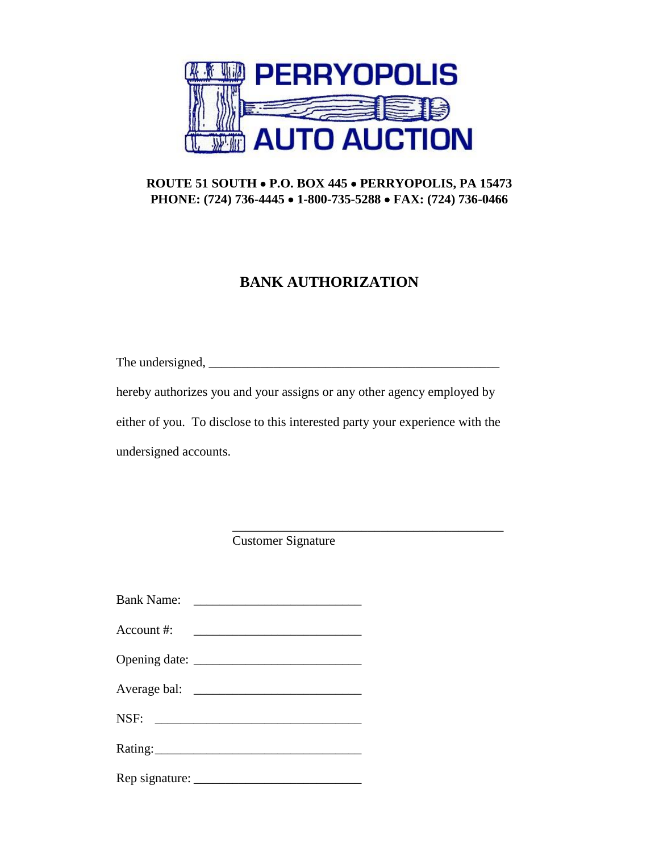

#### **ROUTE 51 SOUTH P.O. BOX 445 PERRYOPOLIS, PA 15473 PHONE: (724) 736-4445 1-800-735-5288 FAX: (724) 736-0466**

## **BANK AUTHORIZATION**

The undersigned, \_\_\_\_\_\_\_\_\_\_\_\_\_\_\_\_\_\_\_\_\_\_\_\_\_\_\_\_\_\_\_\_\_\_\_\_\_\_\_\_\_\_\_\_\_

hereby authorizes you and your assigns or any other agency employed by either of you. To disclose to this interested party your experience with the undersigned accounts.

\_\_\_\_\_\_\_\_\_\_\_\_\_\_\_\_\_\_\_\_\_\_\_\_\_\_\_\_\_\_\_\_\_\_\_\_\_\_\_\_\_\_

Customer Signature

| <b>Bank Name:</b> |         |
|-------------------|---------|
| Account $\#$ :    |         |
|                   |         |
|                   |         |
|                   |         |
|                   | Rating: |
|                   |         |